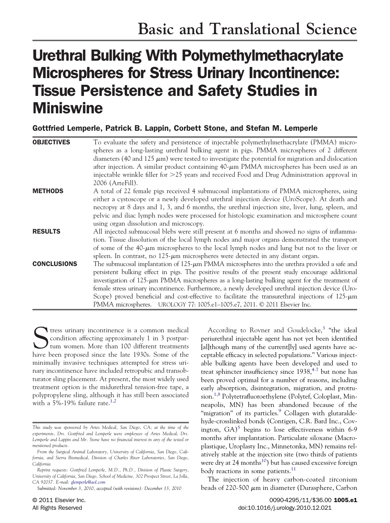# Urethral Bulking With Polymethylmethacrylate Microspheres for Stress Urinary Incontinence: Tissue Persistence and Safety Studies in **Miniswine**

Gottfried Lemperle, Patrick B. Lappin, Corbett Stone, and Stefan M. Lemperle

| <b>OBJECTIVES</b>  | To evaluate the safety and persistence of injectable polymethylmethacrylate (PMMA) micro-<br>spheres as a long-lasting urethral bulking agent in pigs. PMMA microspheres of 2 different<br>diameters (40 and 125 $\mu$ m) were tested to investigate the potential for migration and dislocation<br>after injection. A similar product containing $40 \text{-}\mu$ m PMMA microspheres has been used as an<br>injectable wrinkle filler for $>25$ years and received Food and Drug Administration approval in<br>2006 (ArteFill).                                                                          |
|--------------------|------------------------------------------------------------------------------------------------------------------------------------------------------------------------------------------------------------------------------------------------------------------------------------------------------------------------------------------------------------------------------------------------------------------------------------------------------------------------------------------------------------------------------------------------------------------------------------------------------------|
| <b>METHODS</b>     | A total of 22 female pigs received 4 submucosal implantations of PMMA microspheres, using<br>either a cystoscope or a newly developed urethral injection device (UroScope). At death and<br>necropsy at 8 days and 1, 3, and 6 months, the urethral injection site, liver, lung, spleen, and<br>pelvic and iliac lymph nodes were processed for histologic examination and microsphere count<br>using organ dissolution and microscopy.                                                                                                                                                                    |
| <b>RESULTS</b>     | All injected submucosal blebs were still present at 6 months and showed no signs of inflamma-<br>tion. Tissue dissolution of the local lymph nodes and major organs demonstrated the transport<br>of some of the 40-µm microspheres to the local lymph nodes and lung but not to the liver or<br>spleen. In contrast, no $125 \times \mu m$ microspheres were detected in any distant organ.                                                                                                                                                                                                               |
| <b>CONCLUSIONS</b> | The submucosal implantation of $125-\mu m$ PMMA microspheres into the urethra provided a safe and<br>persistent bulking effect in pigs. The positive results of the present study encourage additional<br>investigation of $125-\mu m$ PMMA microspheres as a long-lasting bulking agent for the treatment of<br>female stress urinary incontinence. Furthermore, a newly developed urethral injection device (Uro-<br>Scope) proved beneficial and cost-effective to facilitate the transurethral injections of $125-\mu m$<br>PMMA microspheres. UROLOGY 77: 1005.e1-1005.e7, 2011. © 2011 Elsevier Inc. |

Stress urinary incontinence is a common medical<br>condition affecting approximately 1 in 3 postpar-<br>tum women. More than 100 different treatments<br>have been proposed since the late 1930s. Some of the condition affecting approximately 1 in 3 postpartum women. More than 100 different treatments have been proposed since the late 1930s. Some of the minimally invasive techniques attempted for stress urinary incontinence have included retropubic and transobturator sling placement. At present, the most widely used treatment option is the midurethral tension-free tape, a polypropylene sling, although it has still been associated with a 5%-19% failure rate.<sup>1,2</sup>

According to Rovner and Goudelocke,<sup>3</sup> "the ideal periurethral injectable agent has not yet been identified [al]though many of the current[ly] used agents have acceptable efficacy in selected populations." Various injectable bulking agents have been developed and used to treat sphincter insufficiency since  $1938,^{4-7}$  but none has been proved optimal for a number of reasons, including early absorption, disintegration, migration, and protrusion.<sup>1,8</sup> Polytetrafluoroethylene (Polytef, Coloplast, Minneapolis, MN) has been abandoned because of the "migration" of its particles.<sup>9</sup> Collagen with glutaraldehyde-crosslinked bonds (Contigen, C.R. Bard Inc., Covington,  $GA$ <sup>5</sup> begins to lose effectiveness within 6-9 months after implantation. Particulate siloxane (Macroplastique, Uroplasty Inc., Minnetonka, MN) remains relatively stable at the injection site (two thirds of patients were dry at 24 months<sup>10</sup>) but has caused excessive foreign body reactions in some patients.<sup>11</sup>

The injection of heavy carbon-coated zirconium beads of 220-500  $\mu$ m in diameter (Durasphere, Carbon

*This study was sponsored by Artes Medical, San Diego, CA; at the time of the experiments, Drs. Gottfried and Lemperle were employees of Artes Medical; Drs. Lemperle and Lappin and Mr. Stone have no financial interest in any of the tested or mentioned products.*

*From the Surgical Animal Laboratory, University of California, San Diego, California; and Sierra Biomedical, Division of Charles River Laboratories, San Diego, California*

*Reprint requests: Gottfried Lemperle, M.D., Ph.D., Division of Plastic Surgery, University of California, San Diego, School of Medicine, 302 Prospect Street, La Jolla, CA 92037. E-mail: [glemperle@aol.com](mailto:glemperle@aol.com)*

*Submitted: November 3, 2010, accepted (with revisions): December 13, 2010*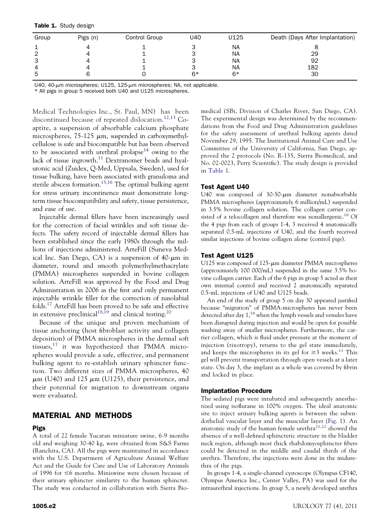| Table 1. Study design |  |  |
|-----------------------|--|--|
|-----------------------|--|--|

| Group | Pigs (n) | Control Group | U40 | U125      | Death (Days After Implantation) |
|-------|----------|---------------|-----|-----------|---------------------------------|
|       |          |               |     | <b>NA</b> |                                 |
| 2     |          |               |     | <b>NA</b> | 29                              |
| 3     |          |               |     | <b>NA</b> | 92                              |
| 4     |          |               |     | <b>NA</b> | 182                             |
| 5     |          |               | 6*  | $6*$      | 30                              |

U40, 40- $\mu$ m microspheres; U125, 125- $\mu$ m microspheres; NA, not applicable.

\* All pigs in group 5 received both U40 and U125 microspheres.

Medical Technologies Inc., St. Paul, MN) has been discontinued because of repeated dislocation.<sup>12,13</sup> Coaptite, a suspension of absorbable calcium phosphate microspheres,  $75-125 \mu m$ , suspended in carboxymethylcellulose is safe and biocompatible but has been observed to be associated with urethral prolapse<sup>14</sup> owing to the lack of tissue ingrowth.<sup>11</sup> Dextranomer beads and hyaluronic acid (Zuidex, Q-Med, Uppsala, Sweden), used for tissue bulking, have been associated with granuloma and sterile abscess formation.<sup>15,16</sup> The optimal bulking agent for stress urinary incontinence must demonstrate longterm tissue biocompatibility and safety, tissue persistence, and ease of use.

Injectable dermal fillers have been increasingly used for the correction of facial wrinkles and soft tissue defects. The safety record of injectable dermal fillers has been established since the early 1980s through the millions of injections administered. ArteFill (Suneva Medical Inc. San Diego, CA) is a suspension of  $40$ - $\mu$ m in diameter, round and smooth polymethylmethacrylate (PMMA) microspheres suspended in bovine collagen solution. ArteFill was approved by the Food and Drug Administration in 2006 as the first and only permanent injectable wrinkle filler for the correction of nasolabial folds.<sup>17</sup> ArteFill has been proved to be safe and effective in extensive preclinical<sup>18,19</sup> and clinical testing.<sup>20</sup>

Because of the unique and proven mechanism of tissue anchoring (host fibroblast activity and collagen deposition) of PMMA microspheres in the dermal soft tissues,<sup>17</sup> it was hypothesized that PMMA microspheres would provide a safe, effective, and permanent bulking agent to re-establish urinary sphincter function. Two different sizes of PMMA microspheres, 40  $\mu$ m (U40) and 125  $\mu$ m (U125), their persistence, and their potential for migration to downstream organs were evaluated.

# MATERIAL AND METHODS

#### Pigs

A total of 22 female Yucatan miniature swine, 6-9 months old and weighing 30-40 kg, were obtained from S&S Farms (Ranchita, CA). All the pigs were maintained in accordance with the U.S. Department of Agriculture Animal Welfare Act and the Guide for Care and Use of Laboratory Animals of 1996 for ≤6 months. Miniswine were chosen because of their urinary sphincter similarity to the human sphincter. The study was conducted in collaboration with Sierra Bio-

medical (SBi, Division of Charles River, San Diego, CA). The experimental design was determined by the recommendations from the Food and Drug Administration guidelines for the safety assessment of urethral bulking agents dated November 29, 1995. The Institutional Animal Care and Use Committee of the University of California, San Diego, approved the 2 protocols (No. R-135, Sierra Biomedical, and No. 02-0023, Perry Scientific). The study design is provided in Table 1.

#### Test Agent U40

U40 was composed of  $30-50$ - $\mu$ m diameter nonabsorbable PMMA microspheres (approximately 6 million/mL) suspended in 3.5% bovine collagen solution. The collagen carrier consisted of a telocollagen and therefore was nonallergenic.<sup>18</sup> Of the 4 pigs from each of groups 1-4, 3 received 4 anatomically separated 0.5-mL injections of U40, and the fourth received similar injections of bovine collagen alone (control pigs).

#### Test Agent U125

U125 was composed of 125-um diameter PMMA microspheres (approximately 100 000/mL) suspended in the same 3.5% bovine collagen carrier. Each of the 6 pigs in group 5 acted as their own internal control and received 2 anatomically separated 0.5-mL injections of U40 and U125 beads.

An end of the study of group 5 on day 30 appeared justified because "migration" of PMMA-microspheres has never been detected after day  $1<sup>18</sup>$  when the lymph vessels and venules have been disrupted during injection and would be open for possible washing away of smaller microspheres. Furthermore, the carrier collagen, which is fluid under pressure at the moment of injection (tixotropy), returns to the gel state immediately, and keeps the microspheres in its gel for  $\geq 3$  weeks.<sup>11</sup> This gel will prevent transportation through open vessels at a later state. On day 3, the implant as a whole was covered by fibrin and locked in place.

#### Implantation Procedure

The sedated pigs were intubated and subsequently anesthetized using isoflurane in 100% oxygen. The ideal anatomic site to inject urinary bulking agents is between the subendothelial vascular layer and the muscular layer (Fig. 1). An anatomic study of the human female urethra $21,22$  showed the absence of a well-defined sphincteric structure in the bladder neck region, although most thick rhabdomyosphincter fibers could be detected in the middle and caudal thirds of the urethra. Therefore, the injections were done in the midurethra of the pigs.

In groups 1-4, a single-channel cystoscope (Olympus CF140, Olympus America Inc., Center Valley, PA) was used for the intraurethral injections. In group 5, a newly developed urethra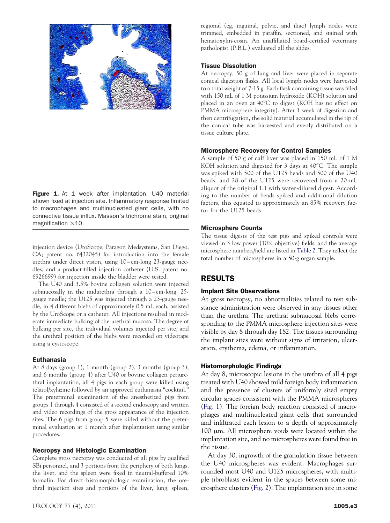Figure 1. At 1 week after implantation, U40 material shown fixed at injection site. Inflammatory response limited to macrophages and multinucleated giant cells, with no connective tissue influx. Masson's trichrome stain, original magnification  $\times$ 10.

injection device (UroScope, Paragon Medsystems, San Diego, CA; patent no. 6432045) for introduction into the female urethra under direct vision, using 10-cm-long 23-gauge needles, and a product-filled injection catheter (U.S. patent no. 6926699) for injection inside the bladder were tested.

The U40 and 3.5% bovine collagen solution were injected submucosally in the midurethra through a 10-cm-long, 25gauge needle; the U125 was injected through a 23-gauge needle, in 4 different blebs of approximately 0.5 mL each, assisted by the UroScope or a catheter. All injections resulted in moderate immediate bulking of the urethral mucosa. The degree of bulking per site, the individual volumes injected per site, and the urethral position of the blebs were recorded on videotape using a cystoscope.

#### **Euthanasia**

At 8 days (group 1), 1 month (group 2), 3 months (group 3), and 6 months (group 4) after U40 or bovine collagen periurethral implantation, all 4 pigs in each group were killed using telazol/xylazine followed by an approved euthanasia "cocktail." The preterminal examination of the anesthetized pigs from groups 1 through 4 consisted of a second endoscopy and written and video recordings of the gross appearance of the injection sites. The 6 pigs from group 5 were killed without the preterminal evaluation at 1 month after implantation using similar procedures.

#### Necropsy and Histologic Examination

Complete gross necropsy was conducted of all pigs by qualified SBi personnel, and 3 portions from the periphery of both lungs, the liver, and the spleen were fixed in neutral-buffered 10% formalin. For direct histomorphologic examination, the urethral injection sites and portions of the liver, lung, spleen, regional (eg, inguinal, pelvic, and iliac) lymph nodes were trimmed, embedded in paraffin, sectioned, and stained with hematoxylin-eosin. An unaffiliated board-certified veterinary pathologist (P.B.L.) evaluated all the slides.

#### Tissue Dissolution

At necropsy, 50 g of lung and liver were placed in separate conical digestion flasks. All local lymph nodes were harvested to a total weight of 7-15 g. Each flask containing tissue was filled with 150 mL of 1 M potassium hydroxide (KOH) solution and placed in an oven at 40°C to digest (KOH has no effect on PMMA microsphere integrity). After 1 week of digestion and then centrifugation, the solid material accumulated in the tip of the conical tube was harvested and evenly distributed on a tissue culture plate.

#### Microsphere Recovery for Control Samples

A sample of 50 g of calf liver was placed in 150 mL of 1 M KOH solution and digested for 3 days at 40°C. The sample was spiked with 500 of the U125 beads and 500 of the U40 beads, and 28 of the U125 were recovered from a 20-mL aliquot of the original 1:1 with water-diluted digest. According to the number of beads spiked and additional dilution factors, this equated to approximately an 85% recovery factor for the U125 beads.

#### Microsphere Counts

The tissue digests of the test pigs and spiked controls were viewed in 3 low power (10 $\times$  objective) fields, and the average microsphere numbers/field are listed in Table 2. They reflect the total number of microspheres in a 50-g organ sample.

## RESULTS

#### Implant Site Observations

At gross necropsy, no abnormalities related to test substance administration were observed in any tissues other than the urethra. The urethral submucosal blebs corresponding to the PMMA microsphere injection sites were visible by day 8 through day 182. The tissues surrounding the implant sites were without signs of irritation, ulceration, erythema, edema, or inflammation.

#### Histomorphologic Findings

At day 8, microscopic lesions in the urethra of all 4 pigs treated with U40 showed mild foreign body inflammation and the presence of clusters of uniformly sized empty circular spaces consistent with the PMMA microspheres (Fig. 1). The foreign body reaction consisted of macrophages and multinucleated giant cells that surrounded and infiltrated each lesion to a depth of approximately 100  $\mu$ m. All microsphere voids were located within the implantation site, and no microspheres were found free in the tissue.

At day 30, ingrowth of the granulation tissue between the U40 microspheres was evident. Macrophages surrounded most U40 and U125 microspheres, with multiple fibroblasts evident in the spaces between some microsphere clusters (Fig. 2). The implantation site in some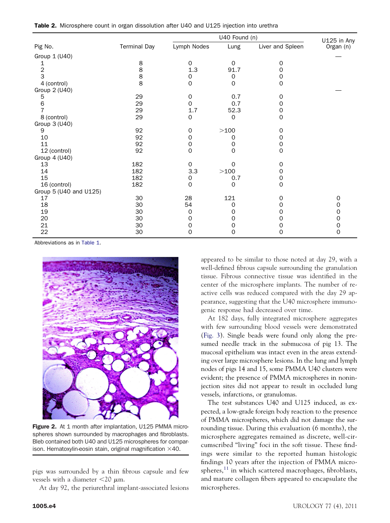|  |  |  | Table 2. Microsphere count in organ dissolution after U40 and U125 injection into urethra |  |  |  |  |
|--|--|--|-------------------------------------------------------------------------------------------|--|--|--|--|
|--|--|--|-------------------------------------------------------------------------------------------|--|--|--|--|

|                        |                     |             | U125 in Any  |                  |           |
|------------------------|---------------------|-------------|--------------|------------------|-----------|
| Pig No.                | <b>Terminal Day</b> | Lymph Nodes | Lung         | Liver and Spleen | Organ (n) |
| Group 1 (U40)          |                     |             |              |                  |           |
| 1                      | 8                   | $\mathbf 0$ | $\mathbf 0$  | 0                |           |
| $\overline{c}$         | 8                   | 1.3         | 91.7         | 0                |           |
| 3                      | 8                   | 0           | 0            | $\Omega$         |           |
| 4 (control)            | 8                   | $\mathbf 0$ | $\mathbf 0$  | $\Omega$         |           |
| Group 2 (U40)          |                     |             |              |                  |           |
| 5                      | 29                  | 0           | 0.7          | 0                |           |
| 6                      | 29                  | $\mathbf 0$ | 0.7          | 0                |           |
| 7                      | 29                  | 1.7         | 52.3         | 0                |           |
| 8 (control)            | 29                  | $\mathbf 0$ | $\mathbf{O}$ | $\Omega$         |           |
| Group 3 (U40)          |                     |             |              |                  |           |
| 9                      | 92                  | 0           | >100         | $\Omega$         |           |
| 10                     | 92                  | 0           | 0            | 0                |           |
| 11                     | 92                  | 0           | 0            | 0                |           |
| 12 (control)           | 92                  | $\mathbf 0$ | $\mathbf 0$  | $\Omega$         |           |
| Group 4 (U40)          |                     |             |              |                  |           |
| 13                     | 182                 | $\mathbf 0$ | 0            | $\Omega$         |           |
| 14                     | 182                 | 3.3         | >100         | $\Omega$         |           |
| 15                     | 182                 | 0           | 0.7          | 0                |           |
| 16 (control)           | 182                 | $\mathbf 0$ | 0            | $\Omega$         |           |
| Group 5 (U40 and U125) |                     |             |              |                  |           |
| 17                     | 30                  | 28          | 121          | 0                | 0         |
| 18                     | 30                  | 54          | 0            | O                | 0         |
| 19                     | 30                  | 0           | 0            | $\Omega$         | 0         |
| 20                     | 30                  | 0           | 0            | Ω                | 0         |
| 21                     | 30                  | 0           | 0            | O)               | 0         |
| 22                     | 30                  | 0           | 0            | 0                | 0         |

Abbreviations as in Table 1.



Figure 2. At 1 month after implantation, U125 PMMA microspheres shown surrounded by macrophages and fibroblasts. Bleb contained both U40 and U125 microspheres for comparison. Hematoxylin-eosin stain, original magnification  $\times 40$ .

pigs was surrounded by a thin fibrous capsule and few vessels with a diameter  $\langle 20 \mu m$ .

At day 92, the periurethral implant-associated lesions

appeared to be similar to those noted at day 29, with a well-defined fibrous capsule surrounding the granulation tissue. Fibrous connective tissue was identified in the center of the microsphere implants. The number of reactive cells was reduced compared with the day 29 appearance, suggesting that the U40 microsphere immunogenic response had decreased over time.

At 182 days, fully integrated microsphere aggregates with few surrounding blood vessels were demonstrated (Fig. 3). Single beads were found only along the presumed needle track in the submucosa of pig 13. The mucosal epithelium was intact even in the areas extending over large microsphere lesions. In the lung and lymph nodes of pigs 14 and 15, some PMMA U40 clusters were evident; the presence of PMMA microspheres in noninjection sites did not appear to result in occluded lung vessels, infarctions, or granulomas.

The test substances U40 and U125 induced, as expected, a low-grade foreign body reaction to the presence of PMMA microspheres, which did not damage the surrounding tissue. During this evaluation (6 months), the microsphere aggregates remained as discrete, well-circumscribed "living" foci in the soft tissue. These findings were similar to the reported human histologic findings 10 years after the injection of PMMA microspheres, $^{11}$  in which scattered macrophages, fibroblasts, and mature collagen fibers appeared to encapsulate the microspheres.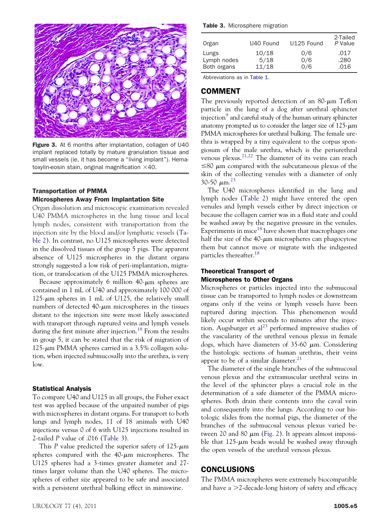

Figure 3. At 6 months after implantation, collagen of U40 implant replaced totally by mature granulation tissue and small vessels (ie, it has become a "living implant"). Hematoxylin-eosin stain, original magnification  $\times$ 40.

### Transportation of PMMA Microspheres Away From Implantation Site

Organ dissolution and microscopic examination revealed U40 PMMA microspheres in the lung tissue and local lymph nodes, consistent with transportation from the injection site by the blood and/or lymphatic vessels (Table 2). In contrast, no U125 microspheres were detected in the dissolved tissues of the group 5 pigs. The apparent absence of U125 microspheres in the distant organs strongly suggested a low risk of peri-implantation, migration, or translocation of the U125 PMMA microspheres.

Because approximately 6 million  $40 \text{-} \mu \text{m}$  spheres are contained in 1 mL of U40 and approximately 100 000 of  $125$ - $\mu$ m spheres in 1 mL of U125, the relatively small numbers of detected  $40$ - $\mu$ m microspheres in the tissues distant to the injection site were most likely associated with transport through ruptured veins and lymph vessels during the first minute after injection.<sup>18</sup> From the results in group 5, it can be stated that the risk of migration of  $125$ - $\mu$ m PMMA spheres carried in a 3.5% collagen solution, when injected submucosally into the urethra, is very low.

#### Statistical Analysis

To compare U40 and U125 in all groups, the Fisher exact test was applied because of the unpaired number of pigs with microspheres in distant organs. For transport to both lungs and lymph nodes, 11 of 18 animals with U40 injections versus 0 of 6 with U125 injections resulted in 2-tailed *P* value of .016 (Table 3).

This *P* value predicted the superior safety of  $125 \mu m$ spheres compared with the  $40 \text{-} \mu \text{m}$  microspheres. The U125 spheres had a 3-times greater diameter and 27 times larger volume than the U40 spheres. The microspheres of either size appeared to be safe and associated with a persistent urethral bulking effect in miniswine.

Table 3. Microsphere migration

| Organ       | U40 Found | U125 Found | 2-Tailed<br>P Value |
|-------------|-----------|------------|---------------------|
| Lungs       | 10/18     | 0/6        | .017                |
| Lymph nodes | 5/18      | 0/6        | .280                |
| Both organs | 11/18     | 0/6        | .016                |

Abbreviations as in Table 1.

# COMMENT

The previously reported detection of an  $80 \text{-} \mu \text{m}$  Teflon particle in the lung of a dog after urethral sphincter injection $^9$  and careful study of the human urinary sphincter anatomy prompted us to consider the larger size of  $125 \mu m$ PMMA microspheres for urethral bulking. The female urethra is wrapped by a tiny equivalent to the corpus spongiosum of the male urethra, which is the periurethral venous plexus.<sup>21,22</sup> The diameter of its veins can reach  $\leq$ 80  $\mu$ m compared with the subcutaneous plexus of the skin of the collecting venules with a diameter of only 30-50  $\mu$ m.<sup>23</sup>

The U40 microspheres identified in the lung and lymph nodes (Table 2) might have entered the open venules and lymph vessels either by direct injection or because the collagen carrier was in a fluid state and could be washed away by the negative pressure in the venules. Experiments in mice<sup>18</sup> have shown that macrophages one half the size of the  $40$ - $\mu$ m microspheres can phagocytose them but cannot move or migrate with the indigested particles thereafter.<sup>18</sup>

## Theoretical Transport of Microspheres to Other Organs

Microspheres or particles injected into the submucosal tissue can be transported to lymph nodes or downstream organs only if the veins or lymph vessels have been ruptured during injection. This phenomenon would likely occur within seconds to minutes after the injection. Augsburger et al<sup>23</sup> performed impressive studies of the vascularity of the urethral venous plexus in female dogs, which have diameters of  $35-60 \mu m$ . Considering the histologic sections of human urethras, their veins appear to be of a similar diameter.<sup>21</sup>

The diameter of the single branches of the submucosal venous plexus and the extramuscular urethral veins in the level of the sphincter plays a crucial role in the determination of a safe diameter of the PMMA microspheres. Both drain their contents into the caval vein and consequently into the lungs. According to our histologic slides from the normal pigs, the diameter of the branches of the submucosal venous plexus varied between 20 and 80  $\mu$ m (Fig. 2). It appears almost impossible that  $125$ - $\mu$ m beads would be washed away through the open vessels of the urethral venous plexus.

# CONCLUSIONS

The PMMA microspheres were extremely biocompatible and have a  $\geq$ 2-decade-long history of safety and efficacy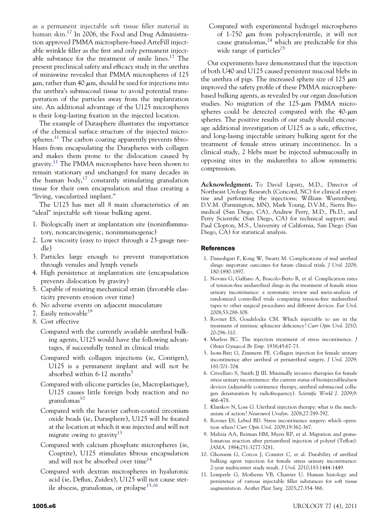as a permanent injectable soft tissue filler material in human skin.<sup>17</sup> In 2006, the Food and Drug Administration approved PMMA microsphere-based ArteFill injectable wrinkle filler as the first and only permanent injectable substance for the treatment of smile lines.17 The present preclinical safety and efficacy study in the urethra of miniswine revealed that PMMA microspheres of 125  $\mu$ m, rather than 40  $\mu$ m, should be used for injections into the urethra's submucosal tissue to avoid potential transportation of the particles away from the implantation site. An additional advantage of the U125 microspheres is their long-lasting fixation in the injected location.

The example of Durasphere illustrates the importance of the chemical surface structure of the injected microspheres.<sup>11</sup> The carbon coating apparently prevents fibroblasts from encapsulating the Durapheres with collagen and makes them prone to the dislocation caused by gravity.<sup>11</sup> The PMMA microspheres have been shown to remain stationary and unchanged for many decades in the human body,<sup>17</sup> constantly stimulating granulation tissue for their own encapsulation and thus creating a "living, vascularized implant."

The U125 has met all 8 main characteristics of an "ideal" injectable soft tissue bulking agent.

- 1. Biologically inert at implantation site (noninflammatory, noncarcinogenic, nonimmunogenic)
- 2. Low viscosity (easy to inject through a 23-gauge needle)
- 3. Particles large enough to prevent transportation through venules and lymph vessels
- 4. High persistence at implantation site (encapsulation prevents dislocation by gravity)
- 5. Capable of resisting mechanical strain (favorable elasticity prevents erosion over time)
- 6. No adverse events on adjacent musculature
- 7. Easily removable<sup>19</sup>
- 8. Cost effective
	- Compared with the currently available urethral bulking agents, U125 would have the following advantages, if successfully tested in clinical trials:
	- Compared with collagen injections (ie, Contigen), U125 is a permanent implant and will not be absorbed within  $6-12$  months<sup>5</sup>
	- Compared with silicone particles (ie, Macroplastique), U125 causes little foreign body reaction and no  $granulomas<sup>10</sup>$
	- Compared with the heavier carbon-coated zirconium oxide beads (ie, Durasphere), U125 will be fixated at the location at which it was injected and will not migrate owing to gravity $13$
	- Compared with calcium phosphate microspheres (ie, Coaptite), U125 stimulates fibrous encapsulation and will not be absorbed over time<sup>14</sup>
	- Compared with dextran microspheres in hyaluronic acid (ie, Deflux, Zuidex), U125 will not cause sterile abscess, granulomas, or prolapse<sup>15,16</sup>

Compared with experimental hydrogel microspheres of 1-750  $\mu$ m from polyacrylonitrile, it will not cause granulomas, $^{24}$  which are predictable for this wide range of particles<sup>25</sup>

Our experiments have demonstrated that the injection of both U40 and U125 caused persistent mucosal blebs in the urethra of pigs. The increased sphere size of 125  $\mu$ m improved the safety profile of these PMMA microspherebased bulking agents, as revealed by our organ dissolution studies. No migration of the  $125-\mu m$  PMMA microspheres could be detected compared with the  $40-\mu m$ spheres. The positive results of our study should encourage additional investigation of U125 as a safe, effective, and long-lasing injectable urinary bulking agent for the treatment of female stress urinary incontinence. In a clinical study, 2 blebs must be injected submucosally in opposing sites in the midurethra to allow symmetric compression.

**Acknowledgment.** To David Lipsitz, M.D., Director of Northeast Urology Research (Concord, NC) for clinical expertise and performing the injections; William Wustenberg, D.V.M. (Farmington, MN), Mark Young, D.V.M., Sierra Biomedical (San Diego, CA), Andrew Perry, M.D., Ph.D., and Perry Scientific (San Diego, CA) for technical support; and Paul Clopton, M.S., University of California, San Diego (San Diego, CA) for statistical analysis.

#### References

- 1. Daneshgari F, Kong W, Swartz M. Complications of mid urethral slings: important outcomes for future clinical trials. *J Urol*. 2008; 180:1890-1897.
- 2. Novara G, Galfano A, Boscolo-Berto R, et al. Complication rates of tension-free midurethral slings in the treatment of female stress urinary incontinence: a systematic review and meta-analysis of randomized controlled trials comparing tension-free midurethral tapes to other surgical procedures and different devices. *Eur Urol*. 2008;53:288-308.
- 3. Rovner ES, Goudelocke CM. Which injectable to use in the treatment of intrinsic sphincter deficiency? *Curr Opin Urol*. 2010; 20:296-310.
- 4. Murless BC. The injection treatment of stress incontinence. *J Obstet Gynaecol Br Emp*. 1938;45:67-73.
- 5. Isom-Batz G, Zimmern PE. Collagen injection for female urinary incontinence after urethral or periurethral surgery. *J Urol*. 2009; 181:701-704.
- 6. Crivellaro S, Smith JJ III. Minimally invasive therapies for female stress urinary incontinence: the current status of bioinjectables/new devices (adjustable continence therapy, urethral submucosal collagen denaturation by radiofrequency). *Scientific World J*. 2009;9: 466-478.
- 7. Klarskov N, Lose G. Urethral injection therapy: what is the mechanism of action? *Neurourol Urodyn*. 2008;27:789-792.
- 8. Rovner ES, Lebed BD. Stress incontinence surgery: which operation when? *Curr Opin Urol*. 2009;19:362-367.
- 9. Malizia AA, Reiman HM, Myers RP, et al. Migration and granulomatous reaction after periurethral injection of polytef (Teflon). *JAMA*. 1984;251:3277-3281.
- 10. Ghoniem G, Corcos J, Comiter C, et al. Durability of urethral bulking agent injection for female stress urinary incontinence: 2-year multicenter study result. *J Urol*. 2010;183:1444-1449.
- 11. Lemperle G, Morhenn VB, Charrier U. Human histology and persistence of various injectable filler substances for soft tissue augmentation. *Aesthet Plast Surg*. 2003;27:354-366.